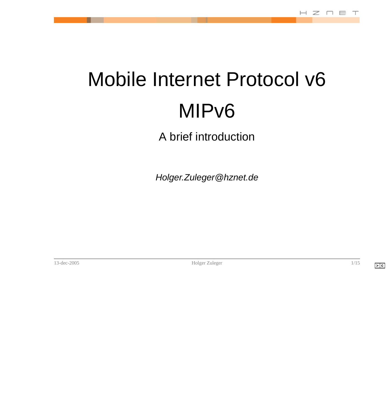# <span id="page-0-0"></span>Mobile Internet Protocol v6 MIPv6

A brief introduction

Holger.Zuleger@hznet.de

[1](#page-1-0)3-dec-2005 Holger Zuleger 2005

**> c**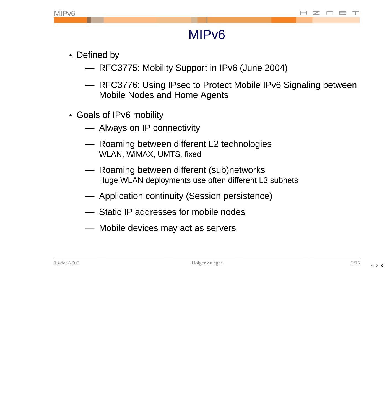#### MIPv6

- <span id="page-1-0"></span>• Defined by
	- RFC3775: Mobility Support in IPv6 (June 2004)
	- RFC3776: Using IPsec to Protect Mobile IPv6 Signaling between Mobile Nodes and Home Agents
- Goals of IPv6 mobility
	- Always on IP connectivity
	- Roaming between different L2 technologies WLAN, WiMAX, UMTS, fixed
	- Roaming between different (sub)networks Huge WLAN deployments use often different L3 subnets
	- Application continuity (Session persistence)
	- Static IP addresses for mobile nodes
	- Mobile devices may act as servers

13-dec-[2](#page-2-0)005 2[/15](#page-16-0)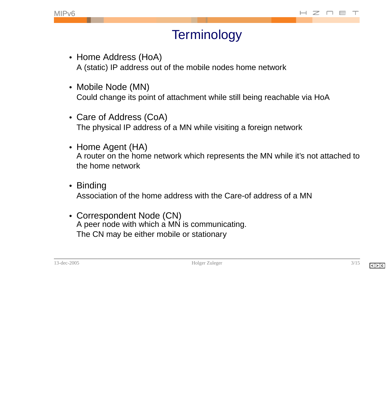### **Terminology**

- <span id="page-2-0"></span>• Home Address (HoA) A (static) IP address out of the mobile nodes home network
- Mobile Node (MN) Could change its point of attachment while still being reachable via HoA
- Care of Address (CoA) The physical IP address of a MN while visiting a foreign network
- Home Agent (HA) A router on the home network which represents the MN while it's not attached to the home network
- Binding Association of the home address with the Care-of address of a MN
- Correspondent Node (CN) A peer node with which a MN is communicating. The CN may be either mobile or stationary

13-dec-2005 Holger Zuleger [3](#page-3-0)[/15](#page-16-0)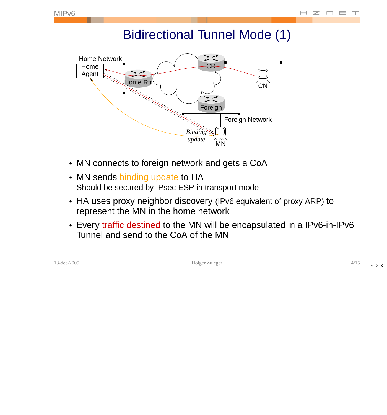### Bidirectional Tunnel Mode (1)

<span id="page-3-0"></span>

- MN connects to foreign network and gets a CoA
- MN sends binding update to HA Should be secured by IPsec ESP in transport mode
- HA uses proxy neighbor discovery (IPv6 equivalent of proxy ARP) to represent the MN in the home network
- Every traffic destined to the MN will be encapsulated in a IPv6-in-IPv6 Tunnel and send to the CoA of the MN

|  | . 21 P.<br>3. T.E. |  |
|--|--------------------|--|
|  |                    |  |

13-dec-2005 [4](#page-4-0)[/15](#page-16-0)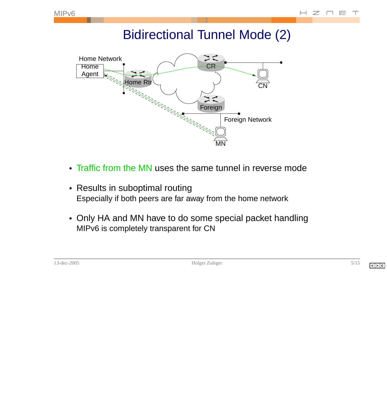### Bidirectional Tunnel Mode (2)

<span id="page-4-0"></span>

- Traffic from the MN uses the same tunnel in reverse mode
- Results in suboptimal routing Especially if both peers are far away from the home network
- Only HA and MN have to do some special packet handling MIPv6 is completely transparent for CN

| – ( 1 t | 20<br>-coli= |  |
|---------|--------------|--|
|         |              |  |

13-holger Zuleger [5](#page-5-0)[/15](#page-16-0)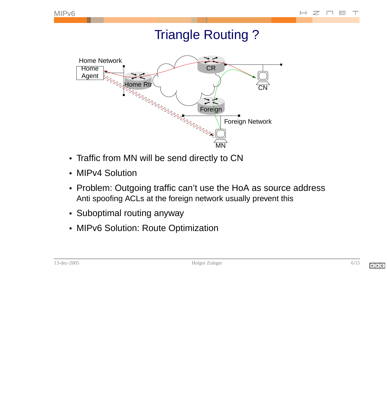#### **Triangle Routing?**

<span id="page-5-0"></span>

- Traffic from MN will be send directly to CN
- MIPv4 Solution
- Problem: Outgoing traffic can't use the HoA as source address Anti spoofing ACLs at the foreign network usually prevent this
- Suboptimal routing anyway
- MIPv6 Solution: Route Optimization

13-dec-2005 Holger Zuleger [6](#page-6-0)[/15](#page-16-0)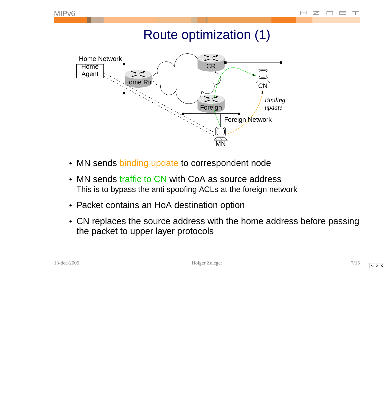## Route optimization (1)

<span id="page-6-0"></span>

- MN sends binding update to correspondent node
- MN sends traffic to CN with CoA as source address This is to bypass the anti spoofing ACLs at the foreign network
- Packet contains an HoA destination option
- CN replaces the source address with the home address before passing the packet to upper layer protocols

|--|

13-dec-2005 Holger Zuleger [7](#page-7-0)[/15](#page-16-0)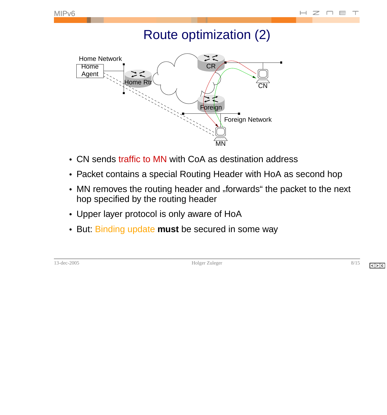#### Route optimization (2)

<span id="page-7-0"></span>

- CN sends traffic to MN with CoA as destination address
- Packet contains a special Routing Header with HoA as second hop
- MN removes the routing header and "forwards" the packet to the next<br>here enocified by the revting beader. hop specified by the routing header
- Upper layer protocol is only aware of HoA
- But: Binding update **must** be secured in some way

13-dec-2005 [8](#page-8-0)[/15](#page-16-0)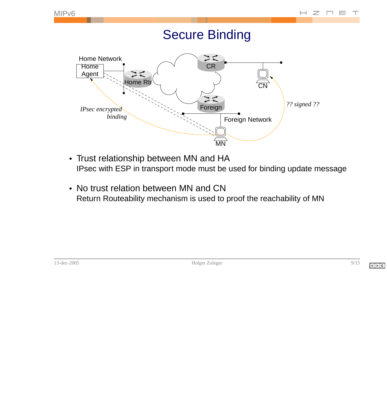#### Secure Binding

<span id="page-8-0"></span>

- Trust relationship between MN and HA IPsec with ESP in transport mode must be used for binding update message
- No trust relation between MN and CN Return Routeability mechanism is used to proof the reachability of MN

13-holger Zuleger [9](#page-9-0)[/15](#page-16-0)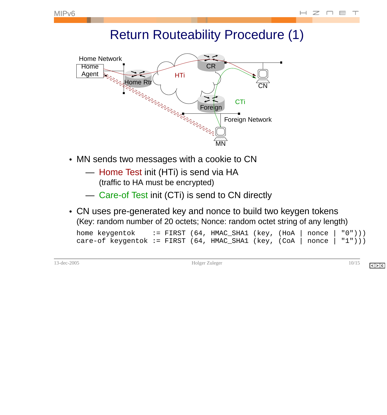#### Return Routeability Procedure (1)

<span id="page-9-0"></span>

- MN sends two messages with a cookie to CN
	- Home Test init (HTi) is send via HA (traffic to HA must be encrypted)
	- Care-of Test init (CTi) is send to CN directly
- CN uses pre-generated key and nonce to build two keygen tokens (Key: random number of 20 octets; Nonce: random octet string of any length)

| home keygentok                                                        |  | $\vdots$ FIRST (64, HMAC_SHA1 (key, (HoA   nonce   "0"))) |  |  |
|-----------------------------------------------------------------------|--|-----------------------------------------------------------|--|--|
| care-of keygentok := FIRST (64, HMAC_SHA1 (key, (CoA   nonce   "1"))) |  |                                                           |  |  |

13-dec-2005 [10](#page-10-0)[/15](#page-16-0)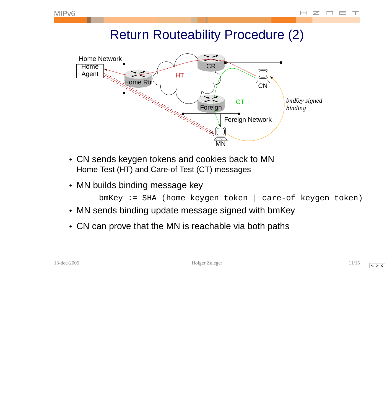#### Return Routeability Procedure (2)

<span id="page-10-0"></span>

- CN sends keygen tokens and cookies back to MN Home Test (HT) and Care-of Test (CT) messages
- MN builds binding message key

```
bmKey := SHA (home keygen token | care-of keygen token)
```
- MN sends binding update message signed with bmKey
- CN can prove that the MN is reachable via both paths

| -200<br>- 1 |  |
|-------------|--|
|-------------|--|

13-dec-2005 [11](#page-11-0)[/15](#page-16-0)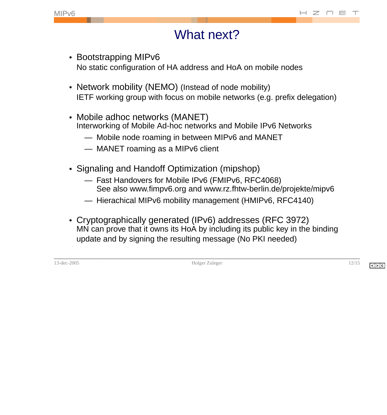#### What next?

- <span id="page-11-0"></span>• Bootstrapping MIPv6 No static configuration of HA address and HoA on mobile nodes
- Network mobility (NEMO) (Instead of node mobility) IETF working group with focus on mobile networks (e.g. prefix delegation)
- Mobile adhoc networks (MANET) Interworking of Mobile Ad-hoc networks and Mobile IPv6 Networks
	- Mobile node roaming in between MIPv6 and MANET
	- MANET roaming as a MIPv6 client
- Signaling and Handoff Optimization (mipshop)
	- Fast Handovers for Mobile IPv6 (FMIPv6, RFC4068) See also www.fimpv6.org and www.rz.fhtw-berlin.de/projekte/mipv6
	- Hierachical MIPv6 mobility management (HMIPv6, RFC4140)
- Cryptographically generated (IPv6) addresses (RFC 3972) MN can prove that it owns its HoA by including its public key in the binding update and by signing the resulting message (No PKI needed)

13-dec-2005 Holger Zuleger [12](#page-12-0)[/15](#page-16-0)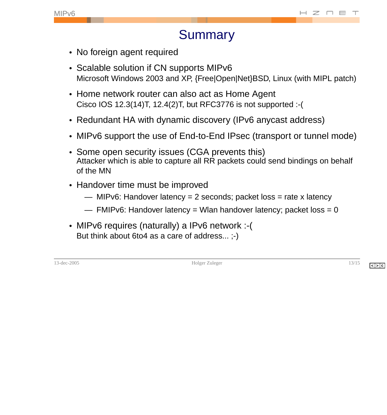#### **Summary**

- <span id="page-12-0"></span>• No foreign agent required
- Scalable solution if CN supports MIPv6 Microsoft Windows 2003 and XP, {Free|Open|Net}BSD, Linux (with MIPL patch)
- Home network router can also act as Home Agent Cisco IOS 12.3(14)T, 12.4(2)T, but RFC3776 is not supported :-(
- Redundant HA with dynamic discovery (IPv6 anycast address)
- MIPv6 support the use of End-to-End IPsec (transport or tunnel mode)
- Some open security issues (CGA prevents this) Attacker which is able to capture all RR packets could send bindings on behalf of the MN
- Handover time must be improved
	- $-$  MIPv6: Handover latency = 2 seconds; packet loss = rate x latency
	- $-$  FMIPv6: Handover latency = Wlan handover latency; packet loss = 0
- MIPv6 requires (naturally) a IPv6 network :-( But think about 6to4 as a care of address... ;-)

13-dec-2005 Holger Zuleger [13](#page-13-0)[/15](#page-16-0)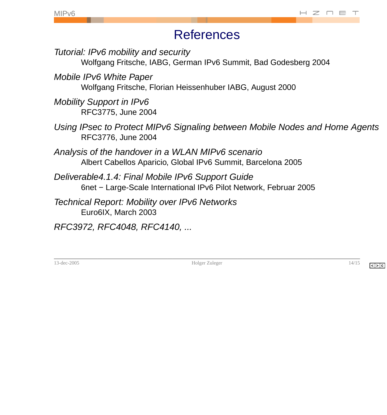#### **References**

<span id="page-13-0"></span>Tutorial: IPv6 mobility and security

Wolfgang Fritsche, IABG, German IPv6 Summit, Bad Godesberg 2004

Mobile IPv6 White Paper Wolfgang Fritsche, Florian Heissenhuber IABG, August 2000

Mobility Support in IPv6 RFC3775, June 2004

- Using IPsec to Protect MIPv6 Signaling between Mobile Nodes and Home Agents RFC3776, June 2004
- Analysis of the handover in a WLAN MIPv6 scenario Albert Cabellos Aparicio, Global IPv6 Summit, Barcelona 2005
- Deliverable4.1.4: Final Mobile IPv6 Support Guide 6net – Large-Scale International IPv6 Pilot Network, Februar 2005
- **Technical Report: Mobility over IPv6 Networks** Euro6IX, March 2003

RFC3972, RFC4048, RFC4140, ...

13-dec-2005 Holger Zuleger [14](#page-14-0)[/15](#page-16-0)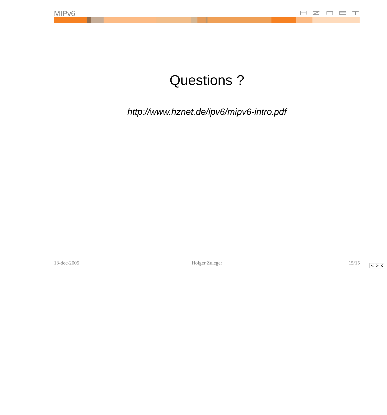# Questions ?

<span id="page-14-0"></span>http://www.hznet.de/ipv6/mipv6-intro.pdf

13-dec-2005 Holger Zuleger [15/15](#page-16-0)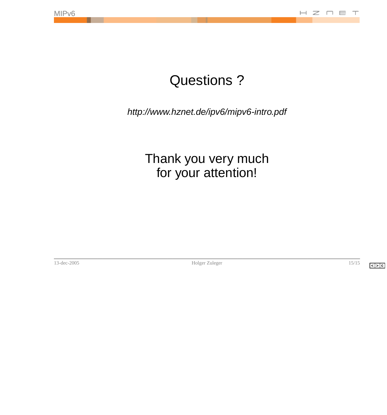# Questions ?

http://www.hznet.de/ipv6/mipv6-intro.pdf

#### Thank you very much for your attention!

13-dec-2005 Holger Zuleger [15/15](#page-16-0)